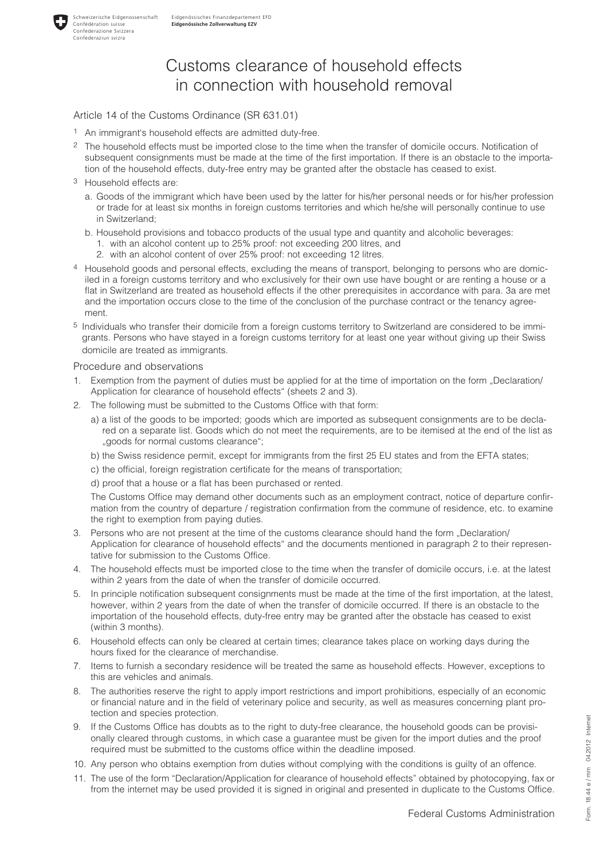

# Customs clearance of household effects in connection with household removal

### Article 14 of the Customs Ordinance (SR 631.01)

- 1 An immigrant's household effects are admitted duty-free.
- 2 The household effects must be imported close to the time when the transfer of domicile occurs. Notification of subsequent consignments must be made at the time of the first importation. If there is an obstacle to the importation of the household effects, duty-free entry may be granted after the obstacle has ceased to exist.
- 3 Household effects are:

Schweizerische Eidgenossenschaft Confédération suisse Confederazione Svizzera Confederaziun svizra

- a. Goods of the immigrant which have been used by the latter for his/her personal needs or for his/her profession or trade for at least six months in foreign customs territories and which he/she will personally continue to use in Switzerland;
- b. Household provisions and tobacco products of the usual type and quantity and alcoholic beverages: 1. with an alcohol content up to 25% proof: not exceeding 200 litres, and
	- 2. with an alcohol content of over 25% proof: not exceeding 12 litres.
- 4 Household goods and personal effects, excluding the means of transport, belonging to persons who are domiciled in a foreign customs territory and who exclusively for their own use have bought or are renting a house or a flat in Switzerland are treated as household effects if the other prerequisites in accordance with para. 3a are met and the importation occurs close to the time of the conclusion of the purchase contract or the tenancy agreement.
- 5 Individuals who transfer their domicile from a foreign customs territory to Switzerland are considered to be immigrants. Persons who have stayed in a foreign customs territory for at least one year without giving up their Swiss domicile are treated as immigrants.

#### Procedure and observations

- 1. Exemption from the payment of duties must be applied for at the time of importation on the form "Declaration/ Application for clearance of household effects" (sheets 2 and 3).
- 2. The following must be submitted to the Customs Office with that form:
	- a) a list of the goods to be imported; goods which are imported as subsequent consignments are to be declared on a separate list. Goods which do not meet the requirements, are to be itemised at the end of the list as "goods for normal customs clearance";
	- b) the Swiss residence permit, except for immigrants from the first 25 EU states and from the EFTA states;
	- c) the official, foreign registration certificate for the means of transportation;
	- d) proof that a house or a flat has been purchased or rented.

The Customs Office may demand other documents such as an employment contract, notice of departure confirmation from the country of departure / registration confirmation from the commune of residence, etc. to examine the right to exemption from paying duties.

- 3. Persons who are not present at the time of the customs clearance should hand the form "Declaration/ Application for clearance of household effects" and the documents mentioned in paragraph 2 to their representative for submission to the Customs Office.
- 4. The household effects must be imported close to the time when the transfer of domicile occurs, i.e. at the latest within 2 years from the date of when the transfer of domicile occurred.
- 5. In principle notification subsequent consignments must be made at the time of the first importation, at the latest, however, within 2 years from the date of when the transfer of domicile occurred. If there is an obstacle to the importation of the household effects, duty-free entry may be granted after the obstacle has ceased to exist (within 3 months).
- 6. Household effects can only be cleared at certain times; clearance takes place on working days during the hours fixed for the clearance of merchandise.
- 7. Items to furnish a secondary residence will be treated the same as household effects. However, exceptions to this are vehicles and animals.
- 8. The authorities reserve the right to apply import restrictions and import prohibitions, especially of an economic or financial nature and in the field of veterinary police and security, as well as measures concerning plant protection and species protection.
- 9. If the Customs Office has doubts as to the right to duty-free clearance, the household goods can be provisionally cleared through customs, in which case a guarantee must be given for the import duties and the proof required must be submitted to the customs office within the deadline imposed.
- 10. Any person who obtains exemption from duties without complying with the conditions is guilty of an offence.
- 11. The use of the form "Declaration/Application for clearance of household effects" obtained by photocopying, fax or from the internet may be used provided it is signed in original and presented in duplicate to the Customs Office.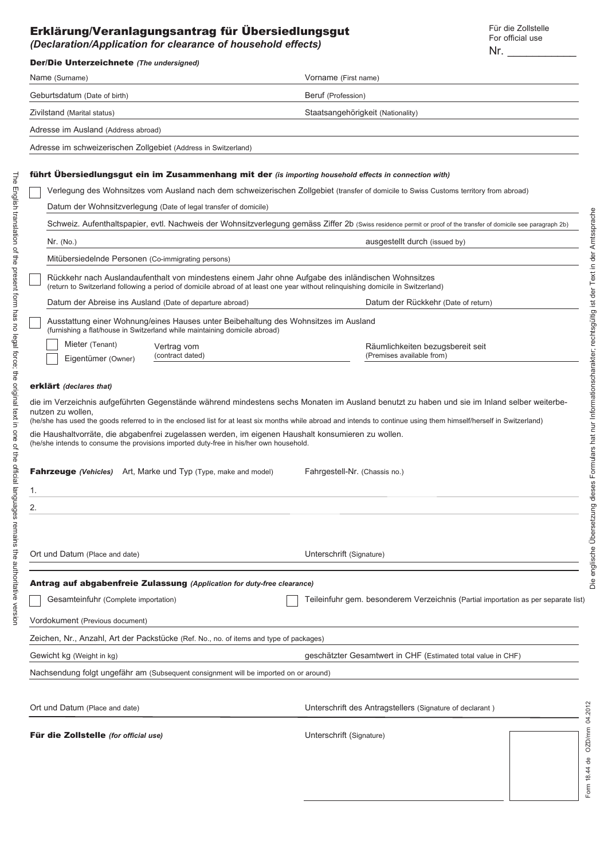## Erklärung/Veranlagungsantrag für Übersiedlungsgut *(Declaration/Application for clearance of household effects)* Nr. \_\_\_\_\_\_\_\_\_\_\_

Für die Zollstelle For official use

| <b>Der/Die Unterzeichnete</b> (The undersigned)                                                                                                                                                                                                                                                                                                                                                                                                                                                                                                                                                                                                                                               |                                                                                                                                                                  |  |  |  |  |  |  |
|-----------------------------------------------------------------------------------------------------------------------------------------------------------------------------------------------------------------------------------------------------------------------------------------------------------------------------------------------------------------------------------------------------------------------------------------------------------------------------------------------------------------------------------------------------------------------------------------------------------------------------------------------------------------------------------------------|------------------------------------------------------------------------------------------------------------------------------------------------------------------|--|--|--|--|--|--|
| Name (Surname)                                                                                                                                                                                                                                                                                                                                                                                                                                                                                                                                                                                                                                                                                | Vorname (First name)                                                                                                                                             |  |  |  |  |  |  |
| Geburtsdatum (Date of birth)                                                                                                                                                                                                                                                                                                                                                                                                                                                                                                                                                                                                                                                                  | Beruf (Profession)                                                                                                                                               |  |  |  |  |  |  |
| Zivilstand (Marital status)                                                                                                                                                                                                                                                                                                                                                                                                                                                                                                                                                                                                                                                                   | Staatsangehörigkeit (Nationality)                                                                                                                                |  |  |  |  |  |  |
| Adresse im Ausland (Address abroad)                                                                                                                                                                                                                                                                                                                                                                                                                                                                                                                                                                                                                                                           |                                                                                                                                                                  |  |  |  |  |  |  |
| Adresse im schweizerischen Zollgebiet (Address in Switzerland)                                                                                                                                                                                                                                                                                                                                                                                                                                                                                                                                                                                                                                |                                                                                                                                                                  |  |  |  |  |  |  |
|                                                                                                                                                                                                                                                                                                                                                                                                                                                                                                                                                                                                                                                                                               |                                                                                                                                                                  |  |  |  |  |  |  |
| führt Ubersiedlungsgut ein im Zusammenhang mit der (is importing household effects in connection with)                                                                                                                                                                                                                                                                                                                                                                                                                                                                                                                                                                                        |                                                                                                                                                                  |  |  |  |  |  |  |
| Verlegung des Wohnsitzes vom Ausland nach dem schweizerischen Zollgebiet (transfer of domicile to Swiss Customs territory from abroad)<br>Datum der Wohnsitzverlegung (Date of legal transfer of domicile)                                                                                                                                                                                                                                                                                                                                                                                                                                                                                    |                                                                                                                                                                  |  |  |  |  |  |  |
|                                                                                                                                                                                                                                                                                                                                                                                                                                                                                                                                                                                                                                                                                               | Schweiz. Aufenthaltspapier, evtl. Nachweis der Wohnsitzverlegung gemäss Ziffer 2b (Swiss residence permit or proof of the transfer of domicile see paragraph 2b) |  |  |  |  |  |  |
| Nr. (No.)                                                                                                                                                                                                                                                                                                                                                                                                                                                                                                                                                                                                                                                                                     | Amtssprache<br>ausgestellt durch (issued by)                                                                                                                     |  |  |  |  |  |  |
| Mitübersiedelnde Personen (Co-immigrating persons)                                                                                                                                                                                                                                                                                                                                                                                                                                                                                                                                                                                                                                            | in der                                                                                                                                                           |  |  |  |  |  |  |
|                                                                                                                                                                                                                                                                                                                                                                                                                                                                                                                                                                                                                                                                                               |                                                                                                                                                                  |  |  |  |  |  |  |
| Rückkehr nach Auslandaufenthalt von mindestens einem Jahr ohne Aufgabe des inländischen Wohnsitzes<br>(return to Switzerland following a period of domicile abroad of at least one year without relinguishing domicile in Switzerland)                                                                                                                                                                                                                                                                                                                                                                                                                                                        |                                                                                                                                                                  |  |  |  |  |  |  |
| Datum der Abreise ins Ausland (Date of departure abroad)                                                                                                                                                                                                                                                                                                                                                                                                                                                                                                                                                                                                                                      | der Text<br>Datum der Rückkehr (Date of return)<br>$\frac{1}{2}$                                                                                                 |  |  |  |  |  |  |
| Ausstattung einer Wohnung/eines Hauses unter Beibehaltung des Wohnsitzes im Ausland<br>(furnishing a flat/house in Switzerland while maintaining domicile abroad)                                                                                                                                                                                                                                                                                                                                                                                                                                                                                                                             | rechtsgültig                                                                                                                                                     |  |  |  |  |  |  |
| Mieter (Tenant)<br>Vertrag vom                                                                                                                                                                                                                                                                                                                                                                                                                                                                                                                                                                                                                                                                | Räumlichkeiten bezugsbereit seit                                                                                                                                 |  |  |  |  |  |  |
| (contract dated)<br>Eigentümer (Owner)                                                                                                                                                                                                                                                                                                                                                                                                                                                                                                                                                                                                                                                        | (Premises available from)                                                                                                                                        |  |  |  |  |  |  |
| Formulars hat nur Informationscharakter;<br>die im Verzeichnis aufgeführten Gegenstände während mindestens sechs Monaten im Ausland benutzt zu haben und sie im Inland selber weiterbe-<br>nutzen zu wollen,<br>(he/she has used the goods referred to in the enclosed list for at least six months while abroad and intends to continue using them himself/herself in Switzerland)<br>die Haushaltvorräte, die abgabenfrei zugelassen werden, im eigenen Haushalt konsumieren zu wollen.<br>(he/she intends to consume the provisions imported duty-free in his/her own household.<br><b>Fahrzeuge</b> (Vehicles) Art, Marke und Typ (Type, make and model)<br>Fahrgestell-Nr. (Chassis no.) |                                                                                                                                                                  |  |  |  |  |  |  |
|                                                                                                                                                                                                                                                                                                                                                                                                                                                                                                                                                                                                                                                                                               | dieses<br>g                                                                                                                                                      |  |  |  |  |  |  |
|                                                                                                                                                                                                                                                                                                                                                                                                                                                                                                                                                                                                                                                                                               |                                                                                                                                                                  |  |  |  |  |  |  |
|                                                                                                                                                                                                                                                                                                                                                                                                                                                                                                                                                                                                                                                                                               |                                                                                                                                                                  |  |  |  |  |  |  |
| Ort und Datum (Place and date)                                                                                                                                                                                                                                                                                                                                                                                                                                                                                                                                                                                                                                                                | englische Übersetzu<br>Unterschrift (Signature)                                                                                                                  |  |  |  |  |  |  |
|                                                                                                                                                                                                                                                                                                                                                                                                                                                                                                                                                                                                                                                                                               |                                                                                                                                                                  |  |  |  |  |  |  |
| <b>Antrag auf abgabenfreie Zulassung (Application for duty-free clearance)</b>                                                                                                                                                                                                                                                                                                                                                                                                                                                                                                                                                                                                                | Die                                                                                                                                                              |  |  |  |  |  |  |
| Gesamteinfuhr (Complete importation)                                                                                                                                                                                                                                                                                                                                                                                                                                                                                                                                                                                                                                                          | Teileinfuhr gem. besonderem Verzeichnis (Partial importation as per separate list)                                                                               |  |  |  |  |  |  |
| Vordokument (Previous document)                                                                                                                                                                                                                                                                                                                                                                                                                                                                                                                                                                                                                                                               |                                                                                                                                                                  |  |  |  |  |  |  |
| Zeichen, Nr., Anzahl, Art der Packstücke (Ref. No., no. of items and type of packages)                                                                                                                                                                                                                                                                                                                                                                                                                                                                                                                                                                                                        |                                                                                                                                                                  |  |  |  |  |  |  |
| Gewicht kg (Weight in kg)                                                                                                                                                                                                                                                                                                                                                                                                                                                                                                                                                                                                                                                                     | geschätzter Gesamtwert in CHF (Estimated total value in CHF)                                                                                                     |  |  |  |  |  |  |
| Nachsendung folgt ungefähr am (Subsequent consignment will be imported on or around)                                                                                                                                                                                                                                                                                                                                                                                                                                                                                                                                                                                                          |                                                                                                                                                                  |  |  |  |  |  |  |
|                                                                                                                                                                                                                                                                                                                                                                                                                                                                                                                                                                                                                                                                                               |                                                                                                                                                                  |  |  |  |  |  |  |
| Ort und Datum (Place and date)                                                                                                                                                                                                                                                                                                                                                                                                                                                                                                                                                                                                                                                                | Unterschrift des Antragstellers (Signature of declarant)                                                                                                         |  |  |  |  |  |  |
| Für die Zollstelle (for official use)                                                                                                                                                                                                                                                                                                                                                                                                                                                                                                                                                                                                                                                         | ZD/mm 04.2012<br>Unterschrift (Signature)                                                                                                                        |  |  |  |  |  |  |

The English translation of the present form has no legal force; the original text in one of the official languages remains the authoritative version